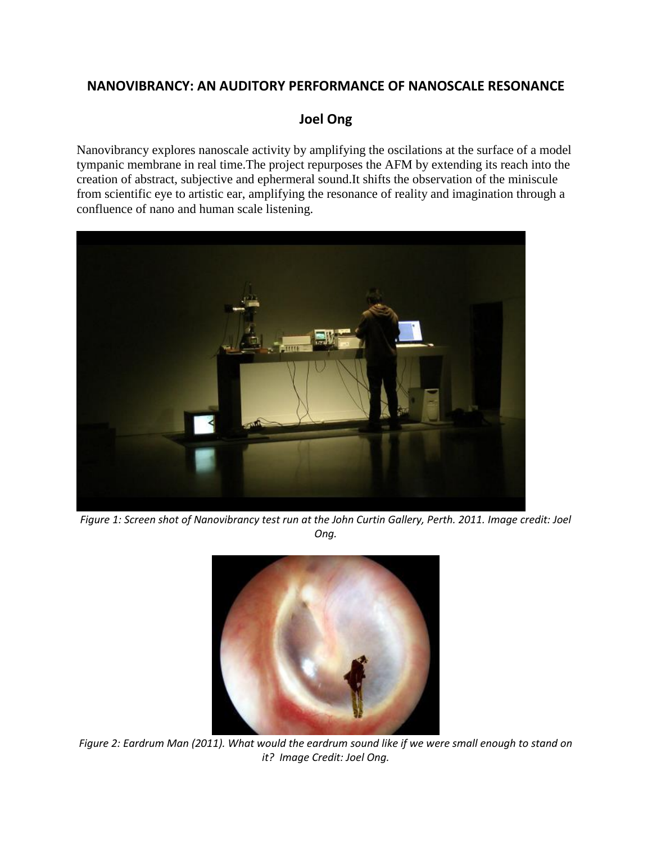# **NANOVIBRANCY: AN AUDITORY PERFORMANCE OF NANOSCALE RESONANCE**

# **Joel Ong**

Nanovibrancy explores nanoscale activity by amplifying the oscilations at the surface of a model tympanic membrane in real time.The project repurposes the AFM by extending its reach into the creation of abstract, subjective and ephermeral sound.It shifts the observation of the miniscule from scientific eye to artistic ear, amplifying the resonance of reality and imagination through a confluence of nano and human scale listening.



*Figure 1: Screen shot of Nanovibrancy test run at the John Curtin Gallery, Perth. 2011. Image credit: Joel Ong.*



*Figure 2: Eardrum Man (2011). What would the eardrum sound like if we were small enough to stand on it? Image Credit: Joel Ong.*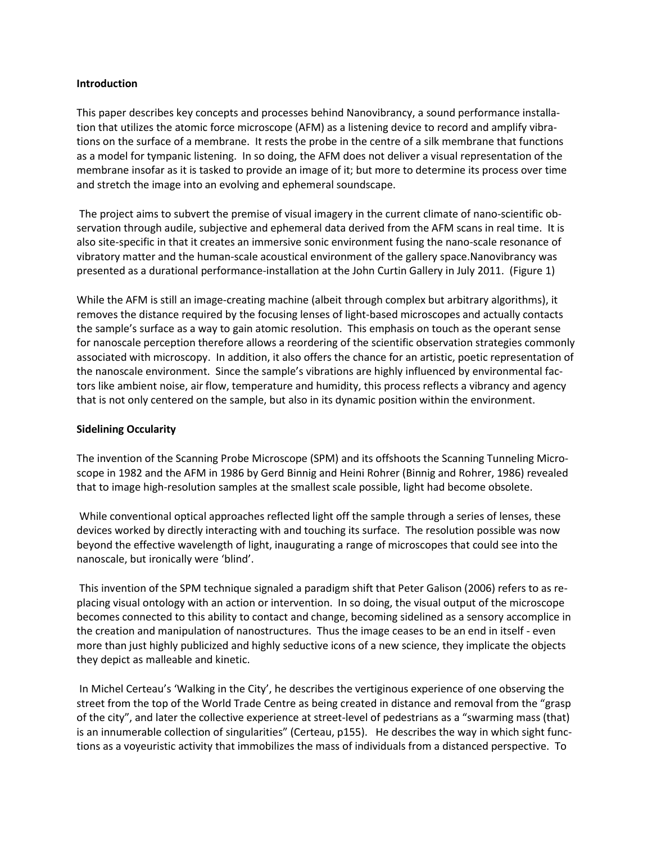#### **Introduction**

This paper describes key concepts and processes behind Nanovibrancy, a sound performance installation that utilizes the atomic force microscope (AFM) as a listening device to record and amplify vibrations on the surface of a membrane. It rests the probe in the centre of a silk membrane that functions as a model for tympanic listening. In so doing, the AFM does not deliver a visual representation of the membrane insofar as it is tasked to provide an image of it; but more to determine its process over time and stretch the image into an evolving and ephemeral soundscape.

The project aims to subvert the premise of visual imagery in the current climate of nano-scientific observation through audile, subjective and ephemeral data derived from the AFM scans in real time. It is also site-specific in that it creates an immersive sonic environment fusing the nano-scale resonance of vibratory matter and the human-scale acoustical environment of the gallery space.Nanovibrancy was presented as a durational performance-installation at the John Curtin Gallery in July 2011. (Figure 1)

While the AFM is still an image-creating machine (albeit through complex but arbitrary algorithms), it removes the distance required by the focusing lenses of light-based microscopes and actually contacts the sample's surface as a way to gain atomic resolution. This emphasis on touch as the operant sense for nanoscale perception therefore allows a reordering of the scientific observation strategies commonly associated with microscopy. In addition, it also offers the chance for an artistic, poetic representation of the nanoscale environment. Since the sample's vibrations are highly influenced by environmental factors like ambient noise, air flow, temperature and humidity, this process reflects a vibrancy and agency that is not only centered on the sample, but also in its dynamic position within the environment.

## **Sidelining Occularity**

The invention of the Scanning Probe Microscope (SPM) and its offshoots the Scanning Tunneling Microscope in 1982 and the AFM in 1986 by Gerd Binnig and Heini Rohrer (Binnig and Rohrer, 1986) revealed that to image high-resolution samples at the smallest scale possible, light had become obsolete.

While conventional optical approaches reflected light off the sample through a series of lenses, these devices worked by directly interacting with and touching its surface. The resolution possible was now beyond the effective wavelength of light, inaugurating a range of microscopes that could see into the nanoscale, but ironically were 'blind'.

This invention of the SPM technique signaled a paradigm shift that Peter Galison (2006) refers to as replacing visual ontology with an action or intervention. In so doing, the visual output of the microscope becomes connected to this ability to contact and change, becoming sidelined as a sensory accomplice in the creation and manipulation of nanostructures. Thus the image ceases to be an end in itself - even more than just highly publicized and highly seductive icons of a new science, they implicate the objects they depict as malleable and kinetic.

In Michel Certeau's 'Walking in the City', he describes the vertiginous experience of one observing the street from the top of the World Trade Centre as being created in distance and removal from the "grasp of the city", and later the collective experience at street-level of pedestrians as a "swarming mass (that) is an innumerable collection of singularities" (Certeau, p155). He describes the way in which sight functions as a voyeuristic activity that immobilizes the mass of individuals from a distanced perspective. To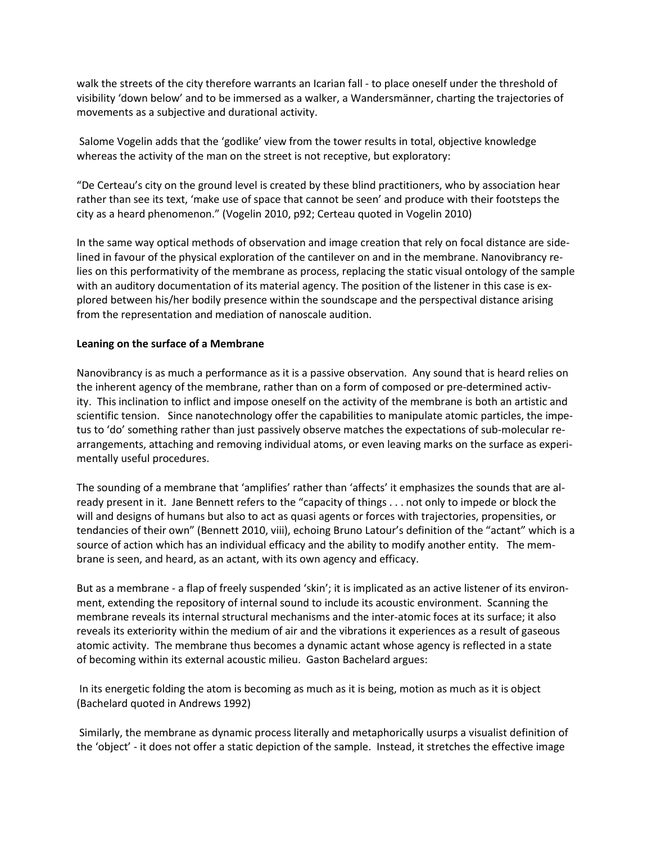walk the streets of the city therefore warrants an Icarian fall - to place oneself under the threshold of visibility 'down below' and to be immersed as a walker, a Wandersmänner, charting the trajectories of movements as a subjective and durational activity.

Salome Vogelin adds that the 'godlike' view from the tower results in total, objective knowledge whereas the activity of the man on the street is not receptive, but exploratory:

"De Certeau's city on the ground level is created by these blind practitioners, who by association hear rather than see its text, 'make use of space that cannot be seen' and produce with their footsteps the city as a heard phenomenon." (Vogelin 2010, p92; Certeau quoted in Vogelin 2010)

In the same way optical methods of observation and image creation that rely on focal distance are sidelined in favour of the physical exploration of the cantilever on and in the membrane. Nanovibrancy relies on this performativity of the membrane as process, replacing the static visual ontology of the sample with an auditory documentation of its material agency. The position of the listener in this case is explored between his/her bodily presence within the soundscape and the perspectival distance arising from the representation and mediation of nanoscale audition.

### **Leaning on the surface of a Membrane**

Nanovibrancy is as much a performance as it is a passive observation. Any sound that is heard relies on the inherent agency of the membrane, rather than on a form of composed or pre-determined activity. This inclination to inflict and impose oneself on the activity of the membrane is both an artistic and scientific tension. Since nanotechnology offer the capabilities to manipulate atomic particles, the impetus to 'do' something rather than just passively observe matches the expectations of sub-molecular rearrangements, attaching and removing individual atoms, or even leaving marks on the surface as experimentally useful procedures.

The sounding of a membrane that 'amplifies' rather than 'affects' it emphasizes the sounds that are already present in it. Jane Bennett refers to the "capacity of things . . . not only to impede or block the will and designs of humans but also to act as quasi agents or forces with trajectories, propensities, or tendancies of their own" (Bennett 2010, viii), echoing Bruno Latour's definition of the "actant" which is a source of action which has an individual efficacy and the ability to modify another entity. The membrane is seen, and heard, as an actant, with its own agency and efficacy.

But as a membrane - a flap of freely suspended 'skin'; it is implicated as an active listener of its environment, extending the repository of internal sound to include its acoustic environment. Scanning the membrane reveals its internal structural mechanisms and the inter-atomic foces at its surface; it also reveals its exteriority within the medium of air and the vibrations it experiences as a result of gaseous atomic activity. The membrane thus becomes a dynamic actant whose agency is reflected in a state of becoming within its external acoustic milieu. Gaston Bachelard argues:

In its energetic folding the atom is becoming as much as it is being, motion as much as it is object (Bachelard quoted in Andrews 1992)

Similarly, the membrane as dynamic process literally and metaphorically usurps a visualist definition of the 'object' - it does not offer a static depiction of the sample. Instead, it stretches the effective image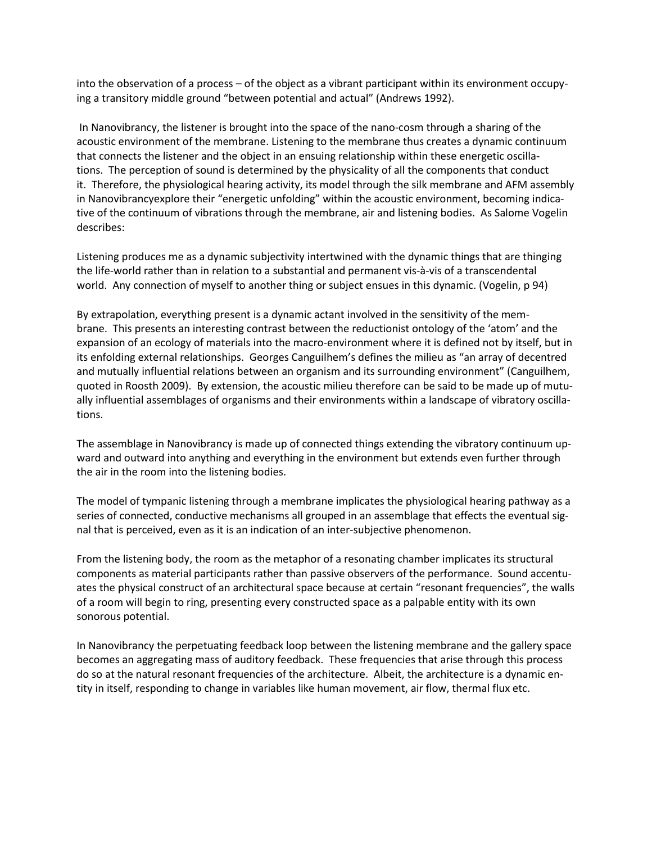into the observation of a process – of the object as a vibrant participant within its environment occupying a transitory middle ground "between potential and actual" (Andrews 1992).

In Nanovibrancy, the listener is brought into the space of the nano-cosm through a sharing of the acoustic environment of the membrane. Listening to the membrane thus creates a dynamic continuum that connects the listener and the object in an ensuing relationship within these energetic oscillations. The perception of sound is determined by the physicality of all the components that conduct it. Therefore, the physiological hearing activity, its model through the silk membrane and AFM assembly in Nanovibrancyexplore their "energetic unfolding" within the acoustic environment, becoming indicative of the continuum of vibrations through the membrane, air and listening bodies. As Salome Vogelin describes:

Listening produces me as a dynamic subjectivity intertwined with the dynamic things that are thinging the life-world rather than in relation to a substantial and permanent vis-à-vis of a transcendental world. Any connection of myself to another thing or subject ensues in this dynamic. (Vogelin, p 94)

By extrapolation, everything present is a dynamic actant involved in the sensitivity of the membrane. This presents an interesting contrast between the reductionist ontology of the 'atom' and the expansion of an ecology of materials into the macro-environment where it is defined not by itself, but in its enfolding external relationships. Georges Canguilhem's defines the milieu as "an array of decentred and mutually influential relations between an organism and its surrounding environment" (Canguilhem, quoted in Roosth 2009). By extension, the acoustic milieu therefore can be said to be made up of mutually influential assemblages of organisms and their environments within a landscape of vibratory oscillations.

The assemblage in Nanovibrancy is made up of connected things extending the vibratory continuum upward and outward into anything and everything in the environment but extends even further through the air in the room into the listening bodies.

The model of tympanic listening through a membrane implicates the physiological hearing pathway as a series of connected, conductive mechanisms all grouped in an assemblage that effects the eventual signal that is perceived, even as it is an indication of an inter-subjective phenomenon.

From the listening body, the room as the metaphor of a resonating chamber implicates its structural components as material participants rather than passive observers of the performance. Sound accentuates the physical construct of an architectural space because at certain "resonant frequencies", the walls of a room will begin to ring, presenting every constructed space as a palpable entity with its own sonorous potential.

In Nanovibrancy the perpetuating feedback loop between the listening membrane and the gallery space becomes an aggregating mass of auditory feedback. These frequencies that arise through this process do so at the natural resonant frequencies of the architecture. Albeit, the architecture is a dynamic entity in itself, responding to change in variables like human movement, air flow, thermal flux etc.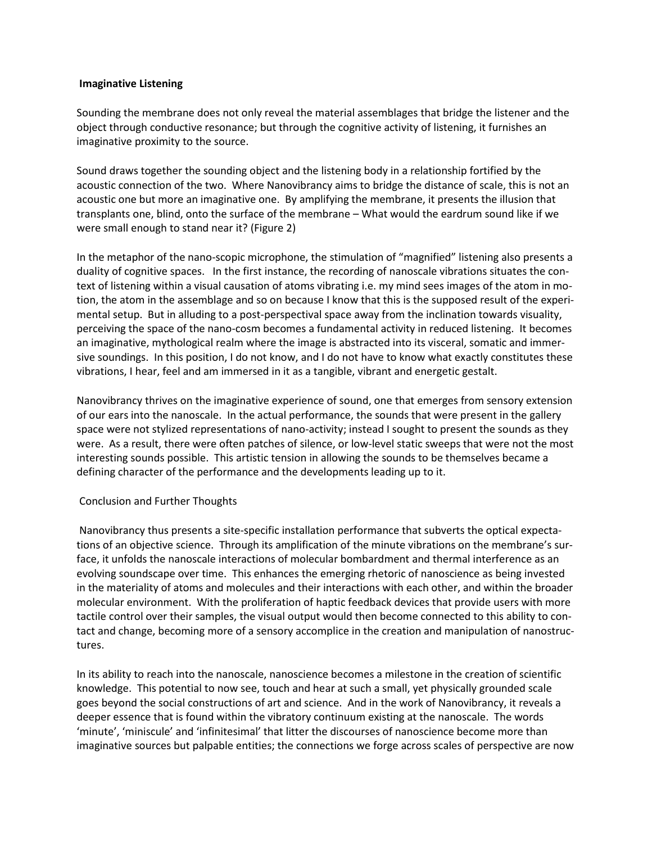#### **Imaginative Listening**

Sounding the membrane does not only reveal the material assemblages that bridge the listener and the object through conductive resonance; but through the cognitive activity of listening, it furnishes an imaginative proximity to the source.

Sound draws together the sounding object and the listening body in a relationship fortified by the acoustic connection of the two. Where Nanovibrancy aims to bridge the distance of scale, this is not an acoustic one but more an imaginative one. By amplifying the membrane, it presents the illusion that transplants one, blind, onto the surface of the membrane – What would the eardrum sound like if we were small enough to stand near it? (Figure 2)

In the metaphor of the nano-scopic microphone, the stimulation of "magnified" listening also presents a duality of cognitive spaces. In the first instance, the recording of nanoscale vibrations situates the context of listening within a visual causation of atoms vibrating i.e. my mind sees images of the atom in motion, the atom in the assemblage and so on because I know that this is the supposed result of the experimental setup. But in alluding to a post-perspectival space away from the inclination towards visuality, perceiving the space of the nano-cosm becomes a fundamental activity in reduced listening. It becomes an imaginative, mythological realm where the image is abstracted into its visceral, somatic and immersive soundings. In this position, I do not know, and I do not have to know what exactly constitutes these vibrations, I hear, feel and am immersed in it as a tangible, vibrant and energetic gestalt.

Nanovibrancy thrives on the imaginative experience of sound, one that emerges from sensory extension of our ears into the nanoscale. In the actual performance, the sounds that were present in the gallery space were not stylized representations of nano-activity; instead I sought to present the sounds as they were. As a result, there were often patches of silence, or low-level static sweeps that were not the most interesting sounds possible. This artistic tension in allowing the sounds to be themselves became a defining character of the performance and the developments leading up to it.

## Conclusion and Further Thoughts

Nanovibrancy thus presents a site-specific installation performance that subverts the optical expectations of an objective science. Through its amplification of the minute vibrations on the membrane's surface, it unfolds the nanoscale interactions of molecular bombardment and thermal interference as an evolving soundscape over time. This enhances the emerging rhetoric of nanoscience as being invested in the materiality of atoms and molecules and their interactions with each other, and within the broader molecular environment. With the proliferation of haptic feedback devices that provide users with more tactile control over their samples, the visual output would then become connected to this ability to contact and change, becoming more of a sensory accomplice in the creation and manipulation of nanostructures.

In its ability to reach into the nanoscale, nanoscience becomes a milestone in the creation of scientific knowledge. This potential to now see, touch and hear at such a small, yet physically grounded scale goes beyond the social constructions of art and science. And in the work of Nanovibrancy, it reveals a deeper essence that is found within the vibratory continuum existing at the nanoscale. The words 'minute', 'miniscule' and 'infinitesimal' that litter the discourses of nanoscience become more than imaginative sources but palpable entities; the connections we forge across scales of perspective are now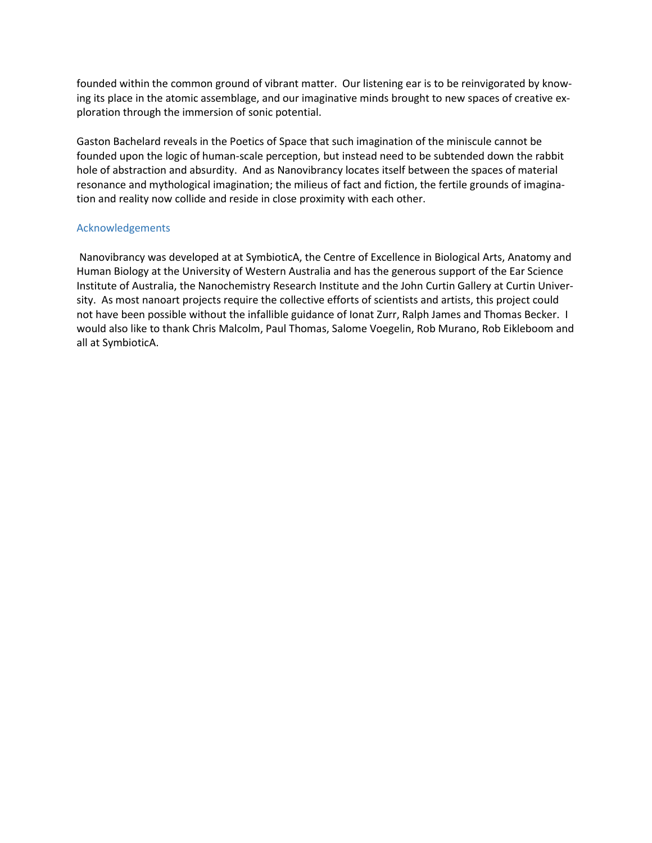founded within the common ground of vibrant matter. Our listening ear is to be reinvigorated by knowing its place in the atomic assemblage, and our imaginative minds brought to new spaces of creative exploration through the immersion of sonic potential.

Gaston Bachelard reveals in the Poetics of Space that such imagination of the miniscule cannot be founded upon the logic of human-scale perception, but instead need to be subtended down the rabbit hole of abstraction and absurdity. And as Nanovibrancy locates itself between the spaces of material resonance and mythological imagination; the milieus of fact and fiction, the fertile grounds of imagination and reality now collide and reside in close proximity with each other.

### Acknowledgements

Nanovibrancy was developed at at SymbioticA, the Centre of Excellence in Biological Arts, Anatomy and Human Biology at the University of Western Australia and has the generous support of the Ear Science Institute of Australia, the Nanochemistry Research Institute and the John Curtin Gallery at Curtin University. As most nanoart projects require the collective efforts of scientists and artists, this project could not have been possible without the infallible guidance of Ionat Zurr, Ralph James and Thomas Becker. I would also like to thank Chris Malcolm, Paul Thomas, Salome Voegelin, Rob Murano, Rob Eikleboom and all at SymbioticA.